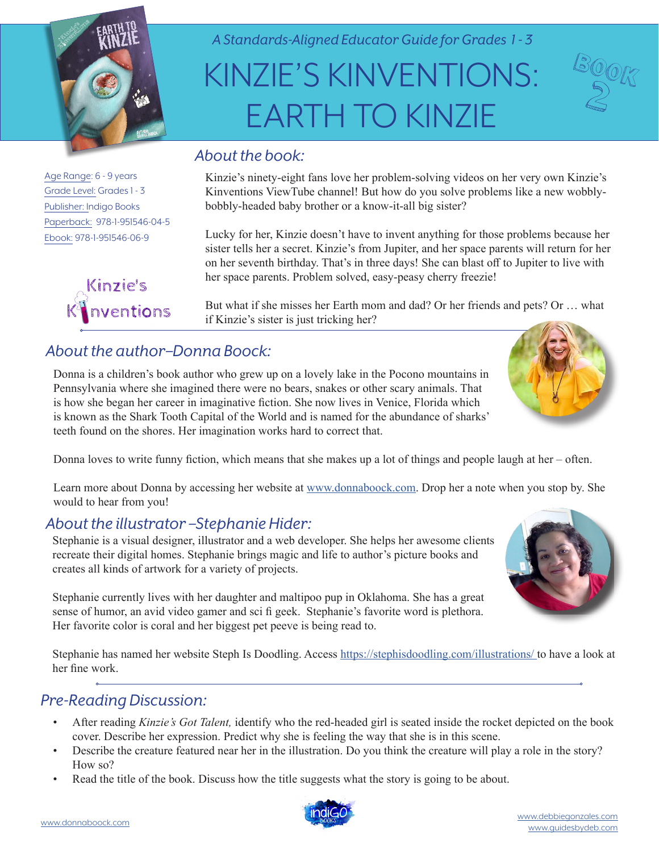

*A Standards-Aligned Educator Guide for Grades 1 - 3*

# KINZIE'S KINVENTIONS: EARTH TO KINZIE

Age Range: 6 - 9 years Grade Level: Grades 1 - 3 Publisher: Indigo Books Paperback: 978-1-951546-04-5 Ebook: 978-1-951546-06-9



## *About the book:*

Kinzie's ninety-eight fans love her problem-solving videos on her very own Kinzie's Kinventions ViewTube channel! But how do you solve problems like a new wobblybobbly-headed baby brother or a know-it-all big sister?

Lucky for her, Kinzie doesn't have to invent anything for those problems because her sister tells her a secret. Kinzie's from Jupiter, and her space parents will return for her on her seventh birthday. That's in three days! She can blast off to Jupiter to live with her space parents. Problem solved, easy-peasy cherry freezie!

But what if she misses her Earth mom and dad? Or her friends and pets? Or … what if Kinzie's sister is just tricking her?

# *About the author–Donna Boock:*

Donna is a children's book author who grew up on a lovely lake in the Pocono mountains in Pennsylvania where she imagined there were no bears, snakes or other scary animals. That is how she began her career in imaginative fiction. She now lives in Venice, Florida which is known as the Shark Tooth Capital of the World and is named for the abundance of sharks' teeth found on the shores. Her imagination works hard to correct that.

Donna loves to write funny fiction, which means that she makes up a lot of things and people laugh at her – often.

Learn more about Donna by accessing her website at [www.donnaboock.com](https://www.donnaboock.com/). Drop her a note when you stop by. She would to hear from you!

#### *About the illustrator –Stephanie Hider:*

Stephanie is a visual designer, illustrator and a web developer. She helps her awesome clients recreate their digital homes. Stephanie brings magic and life to author's picture books and creates all kinds of artwork for a variety of projects.

Stephanie currently lives with her daughter and maltipoo pup in Oklahoma. She has a great sense of humor, an avid video gamer and sci fi geek. Stephanie's favorite word is plethora. Her favorite color is coral and her biggest pet peeve is being read to.

Stephanie has named her website Steph Is Doodling. Access<https://stephisdoodling.com/illustrations/>to have a look at her fine work.

#### *Pre-Reading Discussion:*

- After reading *Kinzie's Got Talent,* identify who the red-headed girl is seated inside the rocket depicted on the book cover. Describe her expression. Predict why she is feeling the way that she is in this scene.
- Describe the creature featured near her in the illustration. Do you think the creature will play a role in the story? How so?
- Read the title of the book. Discuss how the title suggests what the story is going to be about.





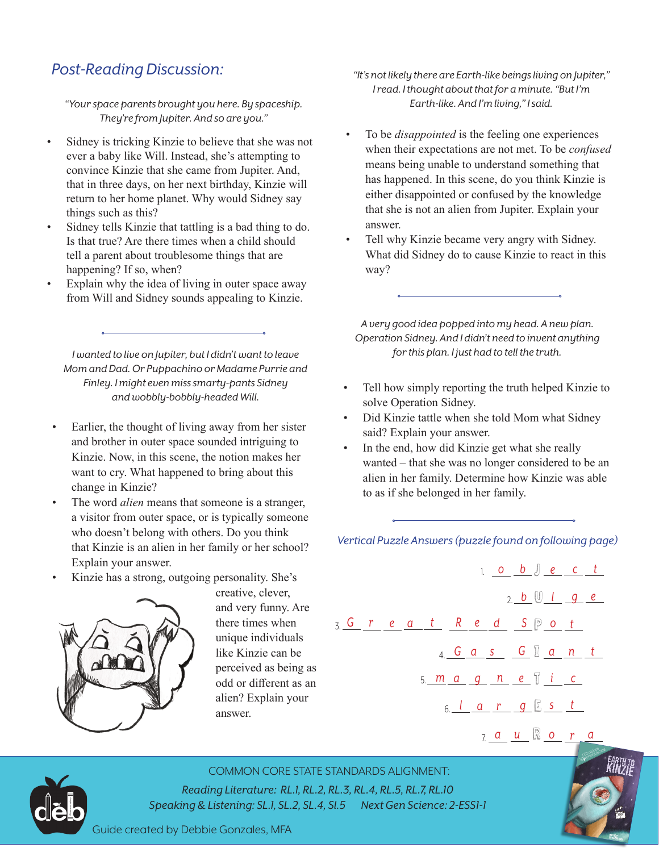### *Post-Reading Discussion:*

*"Your space parents brought you here. By spaceship. They're from Jupiter. And so are you."*

- Sidney is tricking Kinzie to believe that she was not ever a baby like Will. Instead, she's attempting to convince Kinzie that she came from Jupiter. And, that in three days, on her next birthday, Kinzie will return to her home planet. Why would Sidney say things such as this?
- Sidney tells Kinzie that tattling is a bad thing to do. Is that true? Are there times when a child should tell a parent about troublesome things that are happening? If so, when?
- Explain why the idea of living in outer space away from Will and Sidney sounds appealing to Kinzie.

*I wanted to live on Jupiter, but I didn't want to leave Mom and Dad. Or Puppachino or Madame Purrie and Finley. I might even miss smarty-pants Sidney and wobbly-bobbly-headed Will.* 

- Earlier, the thought of living away from her sister and brother in outer space sounded intriguing to Kinzie. Now, in this scene, the notion makes her want to cry. What happened to bring about this change in Kinzie?
- The word *alien* means that someone is a stranger, a visitor from outer space, or is typically someone who doesn't belong with others. Do you think that Kinzie is an alien in her family or her school? Explain your answer.
- Kinzie has a strong, outgoing personality. She's



creative, clever, and very funny. Are there times when unique individuals like Kinzie can be perceived as being as odd or different as an alien? Explain your answer.

- *"It's not likely there are Earth-like beings living on Jupiter," I read. I thought about that for a minute. "But I'm Earth-like. And I'm living," I said.*
- To be *disappointed* is the feeling one experiences when their expectations are not met. To be *confused*  means being unable to understand something that has happened. In this scene, do you think Kinzie is either disappointed or confused by the knowledge that she is not an alien from Jupiter. Explain your answer.
- Tell why Kinzie became very angry with Sidney. What did Sidney do to cause Kinzie to react in this way?

*A very good idea popped into my head. A new plan. Operation Sidney. And I didn't need to invent anything for this plan. I just had to tell the truth.*

- Tell how simply reporting the truth helped Kinzie to solve Operation Sidney.
- Did Kinzie tattle when she told Mom what Sidney said? Explain your answer.
- In the end, how did Kinzie get what she really wanted – that she was no longer considered to be an alien in her family. Determine how Kinzie was able to as if she belonged in her family.

*Vertical Puzzle Answers (puzzle found on following page)*

|                    |  |  |  | 1. 0 $b \int e c t$                         |  |                       |  |
|--------------------|--|--|--|---------------------------------------------|--|-----------------------|--|
|                    |  |  |  |                                             |  | $2 b \cup l \neq g e$ |  |
| 3. Great Red SP ot |  |  |  |                                             |  |                       |  |
|                    |  |  |  | 4. G $a$ s G $a$ a n t                      |  |                       |  |
|                    |  |  |  | 5. <u>m a g n e</u> j i c                   |  |                       |  |
|                    |  |  |  | $6$ , $1$ $a$ $r$ $g$ $\frac{1}{2}$ $s$ $t$ |  |                       |  |
|                    |  |  |  |                                             |  |                       |  |

R 7. *a u o r a*



COMMON CORE STATE STANDARDS ALIGNMENT:

*Reading Literature: RL.1, RL.2, RL.3, RL.4, RL.5, RL.7, RL.10 Speaking & Listening: SL.1, SL.2, SL.4, Sl.5 Next Gen Science: 2-ESS1-1*

Guide created by Debbie Gonzales, MFA